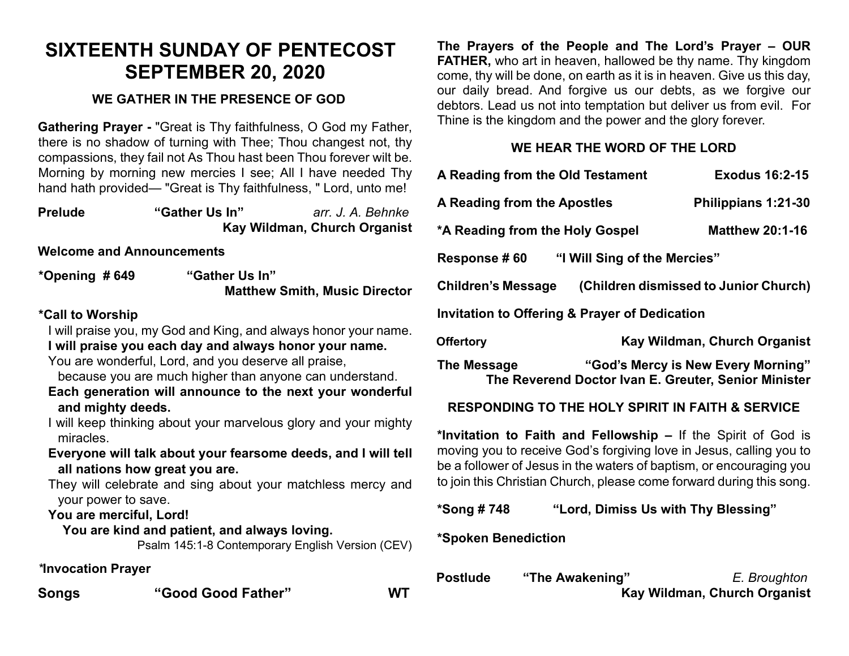# **SIXTEENTH SUNDAY OF PENTECOST SEPTEMBER 20, 2020**

## **WE GATHER IN THE PRESENCE OF GOD**

**Gathering Prayer -** "Great is Thy faithfulness, O God my Father, there is no shadow of turning with Thee; Thou changest not, thy compassions, they fail not As Thou hast been Thou forever wilt be. Morning by morning new mercies I see; All I have needed Thy hand hath provided— "Great is Thy faithfulness, " Lord, unto me!

| <b>Prelude</b> | "Gather Us In" | arr. J. A. Behnke            |
|----------------|----------------|------------------------------|
|                |                | Kay Wildman, Church Organist |

**Welcome and Announcements**

**\*Opening # 649 "Gather Us In" Matthew Smith, Music Director** 

#### **\*Call to Worship**

I will praise you, my God and King, and always honor your name. **I will praise you each day and always honor your name.**

You are wonderful, Lord, and you deserve all praise,

because you are much higher than anyone can understand.

- **Each generation will announce to the next your wonderful and mighty deeds.**
- I will keep thinking about your marvelous glory and your mighty miracles.
- **Everyone will talk about your fearsome deeds, and I will tell all nations how great you are.**

They will celebrate and sing about your matchless mercy and your power to save.

**You are merciful, Lord!** 

 **You are kind and patient, and always loving.** Psalm 145:1-8 Contemporary English Version (CEV)

*\****Invocation Prayer** 

**Songs "Good Good Father" WT**

**The Prayers of the People and The Lord's Prayer – OUR FATHER,** who art in heaven, hallowed be thy name. Thy kingdom come, thy will be done, on earth as it is in heaven. Give us this day, our daily bread. And forgive us our debts, as we forgive our debtors. Lead us not into temptation but deliver us from evil. For Thine is the kingdom and the power and the glory forever.

### **WE HEAR THE WORD OF THE LORD**

|   |                                                          | A Reading from the Old Testament                            | <b>Exodus 16:2-15</b>                                                                                                                       |  |  |
|---|----------------------------------------------------------|-------------------------------------------------------------|---------------------------------------------------------------------------------------------------------------------------------------------|--|--|
|   | A Reading from the Apostles                              |                                                             | Philippians 1:21-30                                                                                                                         |  |  |
| t | *A Reading from the Holy Gospel                          |                                                             | <b>Matthew 20:1-16</b>                                                                                                                      |  |  |
|   | Response # 60                                            | "I Will Sing of the Mercies"                                |                                                                                                                                             |  |  |
|   | <b>Children's Message</b>                                |                                                             | (Children dismissed to Junior Church)                                                                                                       |  |  |
|   | <b>Invitation to Offering &amp; Prayer of Dedication</b> |                                                             |                                                                                                                                             |  |  |
|   | <b>Offertory</b>                                         |                                                             | Kay Wildman, Church Organist                                                                                                                |  |  |
|   |                                                          |                                                             |                                                                                                                                             |  |  |
|   | The Message                                              |                                                             | "God's Mercy is New Every Morning"<br>The Reverend Doctor Ivan E. Greuter, Senior Minister                                                  |  |  |
| ı |                                                          | <b>RESPONDING TO THE HOLY SPIRIT IN FAITH &amp; SERVICE</b> |                                                                                                                                             |  |  |
|   |                                                          |                                                             | *Invitation to Faith and Fellowship – If the Spirit of God is                                                                               |  |  |
|   |                                                          |                                                             | moving you to receive God's forgiving love in Jesus, calling you to                                                                         |  |  |
|   |                                                          |                                                             | be a follower of Jesus in the waters of baptism, or encouraging you<br>to join this Christian Church, please come forward during this song. |  |  |
|   | *Song # 748                                              | "Lord, Dimiss Us with Thy Blessing"                         |                                                                                                                                             |  |  |

| <b>Postlude</b> | "The Awakening" | E. Broughton                 |
|-----------------|-----------------|------------------------------|
|                 |                 | Kay Wildman, Church Organist |